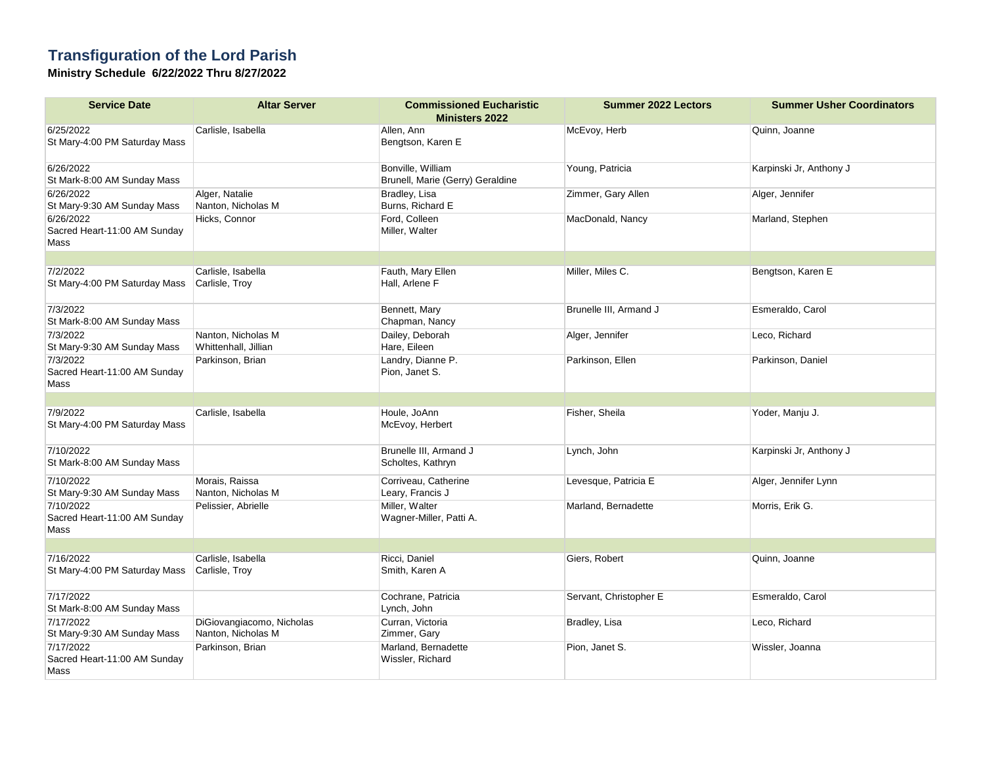## **Transfiguration of the Lord Parish**

**Ministry Schedule 6/22/2022 Thru 8/27/2022**

| <b>Service Date</b>                               | <b>Altar Server</b>                             | <b>Commissioned Eucharistic</b>                       | <b>Summer 2022 Lectors</b> | <b>Summer Usher Coordinators</b> |
|---------------------------------------------------|-------------------------------------------------|-------------------------------------------------------|----------------------------|----------------------------------|
|                                                   |                                                 | <b>Ministers 2022</b>                                 |                            |                                  |
| 6/25/2022<br>St Mary-4:00 PM Saturday Mass        | Carlisle, Isabella                              | Allen, Ann<br>Bengtson, Karen E                       | McEvoy, Herb               | Quinn, Joanne                    |
| 6/26/2022<br>St Mark-8:00 AM Sunday Mass          |                                                 | Bonville, William<br>Brunell, Marie (Gerry) Geraldine | Young, Patricia            | Karpinski Jr, Anthony J          |
| 6/26/2022<br>St Mary-9:30 AM Sunday Mass          | Alger, Natalie<br>Nanton, Nicholas M            | Bradley, Lisa<br>Burns, Richard E                     | Zimmer, Gary Allen         | Alger, Jennifer                  |
| 6/26/2022<br>Sacred Heart-11:00 AM Sunday<br>Mass | Hicks, Connor                                   | Ford, Colleen<br>Miller, Walter                       | MacDonald, Nancy           | Marland, Stephen                 |
|                                                   |                                                 |                                                       |                            |                                  |
| 7/2/2022<br>St Mary-4:00 PM Saturday Mass         | Carlisle, Isabella<br>Carlisle, Troy            | Fauth, Mary Ellen<br>Hall, Arlene F                   | Miller, Miles C.           | Bengtson, Karen E                |
| 7/3/2022<br>St Mark-8:00 AM Sunday Mass           |                                                 | Bennett, Mary<br>Chapman, Nancy                       | Brunelle III, Armand J     | Esmeraldo, Carol                 |
| 7/3/2022                                          | Nanton, Nicholas M                              | Dailey, Deborah                                       | Alger, Jennifer            | Leco, Richard                    |
| St Mary-9:30 AM Sunday Mass                       | Whittenhall, Jillian                            | Hare, Eileen                                          |                            |                                  |
| 7/3/2022<br>Sacred Heart-11:00 AM Sunday<br>Mass  | Parkinson, Brian                                | Landry, Dianne P.<br>Pion, Janet S.                   | Parkinson, Ellen           | Parkinson, Daniel                |
|                                                   |                                                 |                                                       |                            |                                  |
| 7/9/2022<br>St Mary-4:00 PM Saturday Mass         | Carlisle, Isabella                              | Houle, JoAnn<br>McEvoy, Herbert                       | Fisher, Sheila             | Yoder, Manju J.                  |
| 7/10/2022<br>St Mark-8:00 AM Sunday Mass          |                                                 | Brunelle III, Armand J<br>Scholtes, Kathryn           | Lynch, John                | Karpinski Jr, Anthony J          |
| 7/10/2022<br>St Mary-9:30 AM Sunday Mass          | Morais, Raissa<br>Nanton, Nicholas M            | Corriveau, Catherine<br>Leary, Francis J              | Levesque, Patricia E       | Alger, Jennifer Lynn             |
| 7/10/2022<br>Sacred Heart-11:00 AM Sunday<br>Mass | Pelissier, Abrielle                             | Miller, Walter<br>Wagner-Miller, Patti A.             | Marland, Bernadette        | Morris, Erik G.                  |
|                                                   |                                                 |                                                       |                            |                                  |
| 7/16/2022<br>St Mary-4:00 PM Saturday Mass        | Carlisle, Isabella<br>Carlisle, Troy            | Ricci, Daniel<br>Smith, Karen A                       | Giers, Robert              | Quinn, Joanne                    |
| 7/17/2022<br>St Mark-8:00 AM Sunday Mass          |                                                 | Cochrane, Patricia<br>Lynch, John                     | Servant, Christopher E     | Esmeraldo, Carol                 |
| 7/17/2022<br>St Mary-9:30 AM Sunday Mass          | DiGiovangiacomo, Nicholas<br>Nanton, Nicholas M | Curran, Victoria<br>Zimmer, Gary                      | Bradley, Lisa              | Leco, Richard                    |
| 7/17/2022<br>Sacred Heart-11:00 AM Sunday<br>Mass | Parkinson, Brian                                | Marland, Bernadette<br>Wissler, Richard               | Pion, Janet S.             | Wissler, Joanna                  |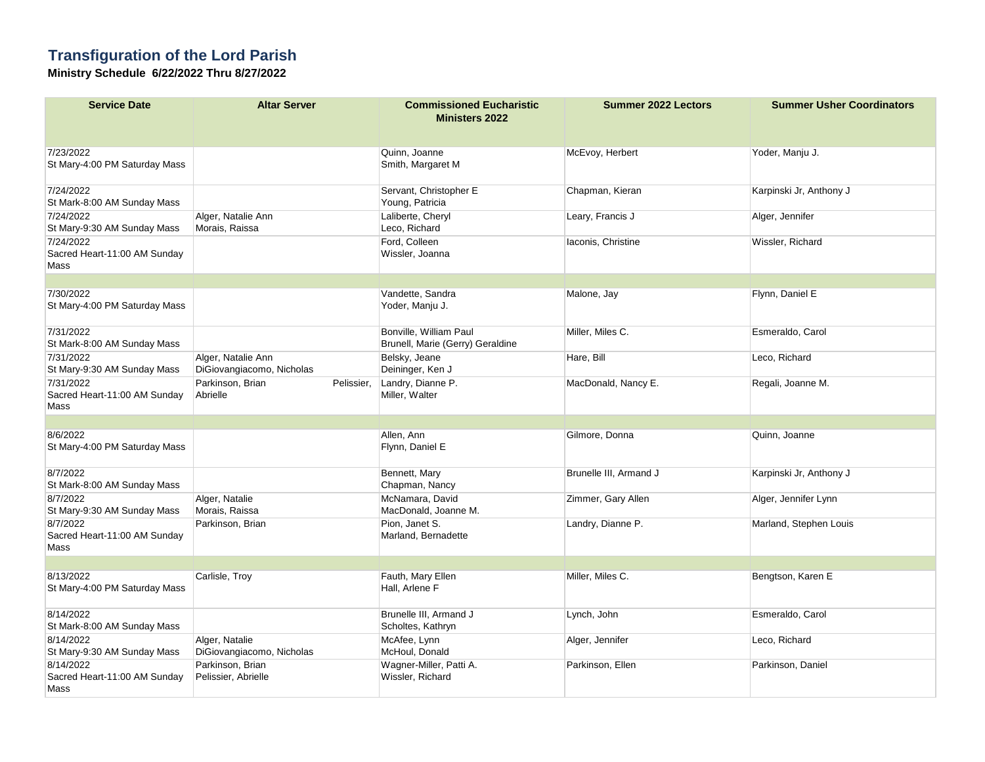## **Transfiguration of the Lord Parish**

**Ministry Schedule 6/22/2022 Thru 8/27/2022**

| <b>Service Date</b>                               | <b>Altar Server</b>                             | <b>Commissioned Eucharistic</b><br><b>Ministers 2022</b>   | <b>Summer 2022 Lectors</b> | <b>Summer Usher Coordinators</b> |
|---------------------------------------------------|-------------------------------------------------|------------------------------------------------------------|----------------------------|----------------------------------|
|                                                   |                                                 |                                                            |                            |                                  |
| 7/23/2022<br>St Mary-4:00 PM Saturday Mass        |                                                 | Quinn, Joanne<br>Smith, Margaret M                         | McEvoy, Herbert            | Yoder, Manju J.                  |
| 7/24/2022<br>St Mark-8:00 AM Sunday Mass          |                                                 | Servant, Christopher E<br>Young, Patricia                  | Chapman, Kieran            | Karpinski Jr, Anthony J          |
| 7/24/2022<br>St Mary-9:30 AM Sunday Mass          | Alger, Natalie Ann<br>Morais, Raissa            | Laliberte, Cheryl<br>Leco, Richard                         | Leary, Francis J           | Alger, Jennifer                  |
| 7/24/2022<br>Sacred Heart-11:00 AM Sunday<br>Mass |                                                 | Ford, Colleen<br>Wissler, Joanna                           | laconis, Christine         | Wissler, Richard                 |
|                                                   |                                                 |                                                            |                            |                                  |
| 7/30/2022<br>St Mary-4:00 PM Saturday Mass        |                                                 | Vandette, Sandra<br>Yoder, Manju J.                        | Malone, Jay                | Flynn, Daniel E                  |
| 7/31/2022<br>St Mark-8:00 AM Sunday Mass          |                                                 | Bonville, William Paul<br>Brunell, Marie (Gerry) Geraldine | Miller, Miles C.           | Esmeraldo, Carol                 |
| 7/31/2022<br>St Mary-9:30 AM Sunday Mass          | Alger, Natalie Ann<br>DiGiovangiacomo, Nicholas | Belsky, Jeane<br>Deininger, Ken J                          | Hare, Bill                 | Leco, Richard                    |
| 7/31/2022<br>Sacred Heart-11:00 AM Sunday<br>Mass | Parkinson, Brian<br>Pelissier.<br>Abrielle      | Landry, Dianne P.<br>Miller, Walter                        | MacDonald, Nancy E.        | Regali, Joanne M.                |
|                                                   |                                                 |                                                            |                            |                                  |
| 8/6/2022<br>St Mary-4:00 PM Saturday Mass         |                                                 | Allen, Ann<br>Flynn, Daniel E                              | Gilmore, Donna             | Quinn, Joanne                    |
| 8/7/2022<br>St Mark-8:00 AM Sunday Mass           |                                                 | Bennett, Mary<br>Chapman, Nancy                            | Brunelle III, Armand J     | Karpinski Jr, Anthony J          |
| 8/7/2022<br>St Mary-9:30 AM Sunday Mass           | Alger, Natalie<br>Morais, Raissa                | McNamara, David<br>MacDonald, Joanne M.                    | Zimmer, Gary Allen         | Alger, Jennifer Lynn             |
| 8/7/2022<br>Sacred Heart-11:00 AM Sunday<br>Mass  | Parkinson, Brian                                | Pion, Janet S.<br>Marland, Bernadette                      | Landry, Dianne P.          | Marland, Stephen Louis           |
|                                                   |                                                 |                                                            |                            |                                  |
| 8/13/2022<br>St Mary-4:00 PM Saturday Mass        | Carlisle, Troy                                  | Fauth, Mary Ellen<br>Hall, Arlene F                        | Miller, Miles C.           | Bengtson, Karen E                |
| 8/14/2022<br>St Mark-8:00 AM Sunday Mass          |                                                 | Brunelle III, Armand J<br>Scholtes, Kathryn                | Lynch, John                | Esmeraldo, Carol                 |
| 8/14/2022                                         | Alger, Natalie                                  | McAfee, Lynn                                               | Alger, Jennifer            | Leco, Richard                    |
| St Mary-9:30 AM Sunday Mass                       | DiGiovangiacomo, Nicholas                       | McHoul, Donald                                             |                            |                                  |
| 8/14/2022<br>Sacred Heart-11:00 AM Sunday<br>Mass | Parkinson, Brian<br>Pelissier, Abrielle         | Wagner-Miller, Patti A.<br>Wissler, Richard                | Parkinson, Ellen           | Parkinson, Daniel                |